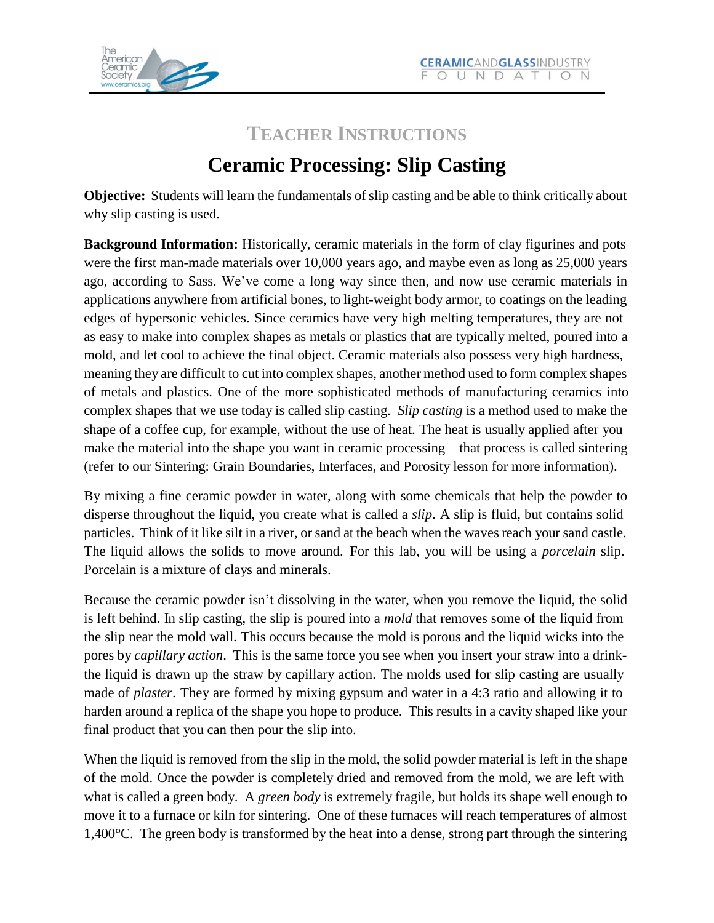

# **TEACHER INSTRUCTIONS Ceramic Processing: Slip Casting**

**Objective:** Students will learn the fundamentals of slip casting and be able to think critically about why slip casting is used.

**Background Information:** Historically, ceramic materials in the form of clay figurines and pots were the first man-made materials over 10,000 years ago, and maybe even as long as 25,000 years ago, according to Sass. We've come a long way since then, and now use ceramic materials in applications anywhere from artificial bones, to light-weight body armor, to coatings on the leading edges of hypersonic vehicles. Since ceramics have very high melting temperatures, they are not as easy to make into complex shapes as metals or plastics that are typically melted, poured into a mold, and let cool to achieve the final object. Ceramic materials also possess very high hardness, meaning they are difficult to cut into complex shapes, another method used to form complex shapes of metals and plastics. One of the more sophisticated methods of manufacturing ceramics into complex shapes that we use today is called slip casting. *Slip casting* is a method used to make the shape of a coffee cup, for example, without the use of heat. The heat is usually applied after you make the material into the shape you want in ceramic processing – that process is called sintering (refer to our Sintering: Grain Boundaries, Interfaces, and Porosity lesson for more information).

By mixing a fine ceramic powder in water, along with some chemicals that help the powder to disperse throughout the liquid, you create what is called a *slip*. A slip is fluid, but contains solid particles. Think of it like silt in a river, or sand at the beach when the waves reach your sand castle. The liquid allows the solids to move around. For this lab, you will be using a *porcelain* slip. Porcelain is a mixture of clays and minerals.

Because the ceramic powder isn't dissolving in the water, when you remove the liquid, the solid is left behind. In slip casting, the slip is poured into a *mold* that removes some of the liquid from the slip near the mold wall. This occurs because the mold is porous and the liquid wicks into the pores by *capillary action*. This is the same force you see when you insert your straw into a drinkthe liquid is drawn up the straw by capillary action. The molds used for slip casting are usually made of *plaster*. They are formed by mixing gypsum and water in a 4:3 ratio and allowing it to harden around a replica of the shape you hope to produce. This results in a cavity shaped like your final product that you can then pour the slip into.

When the liquid is removed from the slip in the mold, the solid powder material is left in the shape of the mold. Once the powder is completely dried and removed from the mold, we are left with what is called a green body. A *green body* is extremely fragile, but holds its shape well enough to move it to a furnace or kiln for sintering. One of these furnaces will reach temperatures of almost 1,400°C. The green body is transformed by the heat into a dense, strong part through the sintering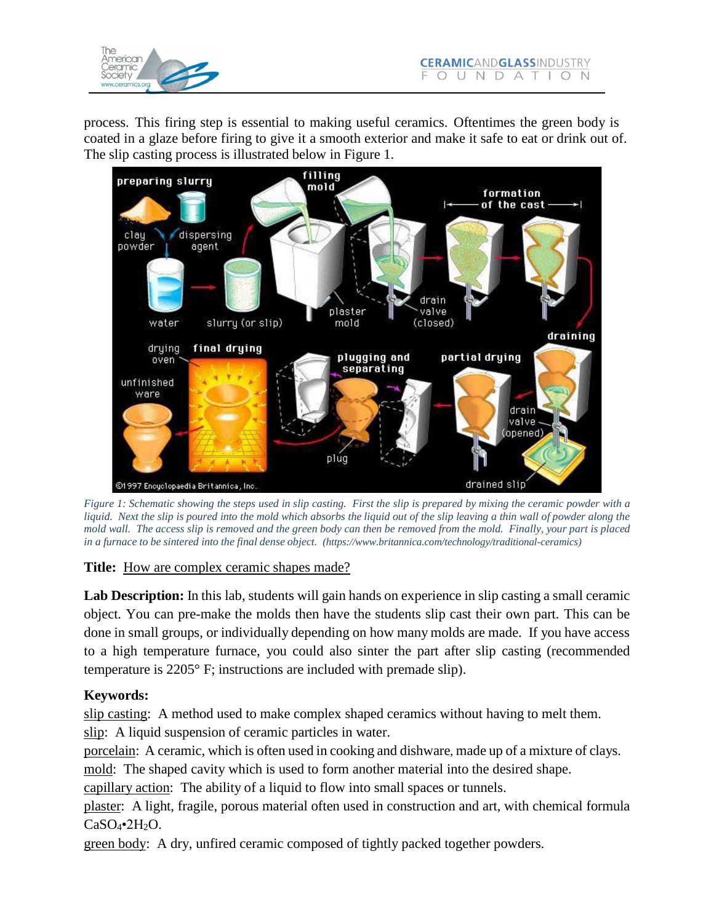

process. This firing step is essential to making useful ceramics. Oftentimes the green body is coated in a glaze before firing to give it a smooth exterior and make it safe to eat or drink out of. The slip casting process is illustrated below in Figure 1.



Figure 1: Schematic showing the steps used in slip casting. First the slip is prepared by mixing the ceramic powder with a liquid. Next the slip is poured into the mold which absorbs the liquid out of the slip leaving a thin wall of powder along the mold wall. The access slip is removed and the green body can then be removed from the mold. Finally, your part is placed *in a furnace to be sintered into the final dense object. (htt[ps://ww](http://www.britannica.com/technology/traditional-ceramics))w.[britannica.com/technology/traditional-ceramics\)](http://www.britannica.com/technology/traditional-ceramics))*

#### **Title:** How are complex ceramic shapes made?

**Lab Description:** In this lab, students will gain hands on experience in slip casting a small ceramic object. You can pre-make the molds then have the students slip cast their own part. This can be done in small groups, or individually depending on how many molds are made. If you have access to a high temperature furnace, you could also sinter the part after slip casting (recommended temperature is 2205° F; instructions are included with premade slip).

### **Keywords:**

slip casting: A method used to make complex shaped ceramics without having to melt them. slip: A liquid suspension of ceramic particles in water.

porcelain: A ceramic, which is often used in cooking and dishware, made up of a mixture of clays.

mold: The shaped cavity which is used to form another material into the desired shape.

capillary action: The ability of a liquid to flow into small spaces or tunnels.

plaster: A light, fragile, porous material often used in construction and art, with chemical formula  $CaSO<sub>4</sub>•2H<sub>2</sub>O.$ 

green body: A dry, unfired ceramic composed of tightly packed together powders.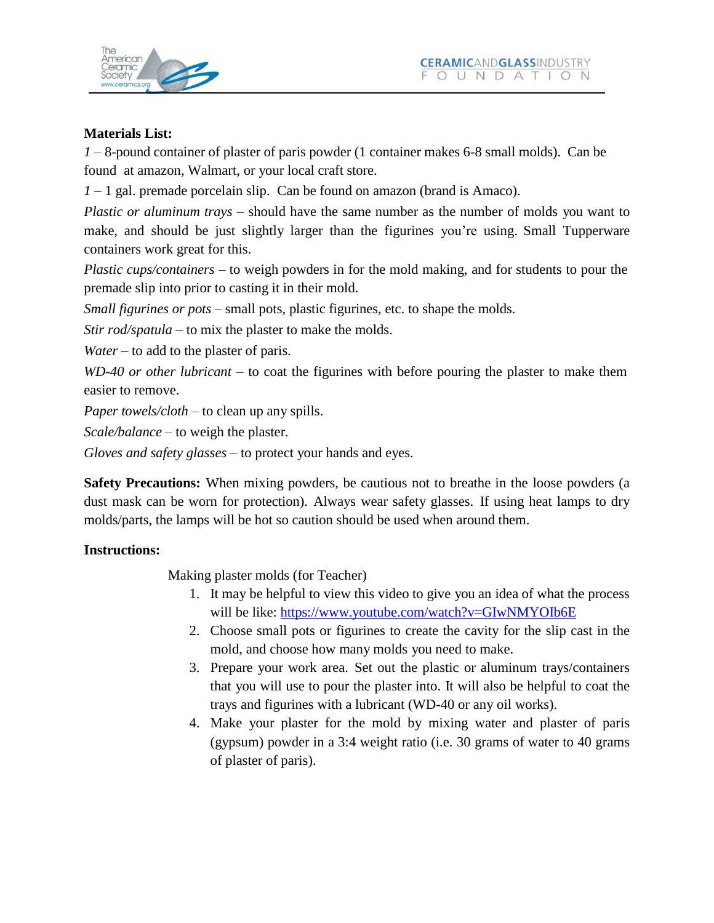



#### **Materials List:**

*1* – 8-pound container of plaster of paris powder (1 container makes 6-8 small molds). Can be found at amazon, Walmart, or your local craft store.

*1* – 1 gal. premade porcelain slip. Can be found on amazon (brand is Amaco).

*Plastic or aluminum trays* – should have the same number as the number of molds you want to make, and should be just slightly larger than the figurines you're using. Small Tupperware containers work great for this.

*Plastic cups/containers* – to weigh powders in for the mold making, and for students to pour the premade slip into prior to casting it in their mold.

*Small figurines or pots* – small pots, plastic figurines, etc. to shape the molds.

*Stir rod/spatula* – to mix the plaster to make the molds.

*Water* – to add to the plaster of paris.

*WD-40 or other lubricant* – to coat the figurines with before pouring the plaster to make them easier to remove.

*Paper towels/cloth* – to clean up any spills.

*Scale/balance* – to weigh the plaster.

*Gloves and safety glasses* – to protect your hands and eyes.

**Safety Precautions:** When mixing powders, be cautious not to breathe in the loose powders (a dust mask can be worn for protection). Always wear safety glasses. If using heat lamps to dry molds/parts, the lamps will be hot so caution should be used when around them.

#### **Instructions:**

Making plaster molds (for Teacher)

- 1. It may be helpful to view this video to give you an idea of what the process will be like: <https://www.youtube.com/watch?v=GIwNMYOIb6E>
- 2. Choose small pots or figurines to create the cavity for the slip cast in the mold, and choose how many molds you need to make.
- 3. Prepare your work area. Set out the plastic or aluminum trays/containers that you will use to pour the plaster into. It will also be helpful to coat the trays and figurines with a lubricant (WD-40 or any oil works).
- 4. Make your plaster for the mold by mixing water and plaster of paris (gypsum) powder in a 3:4 weight ratio (i.e. 30 grams of water to 40 grams of plaster of paris).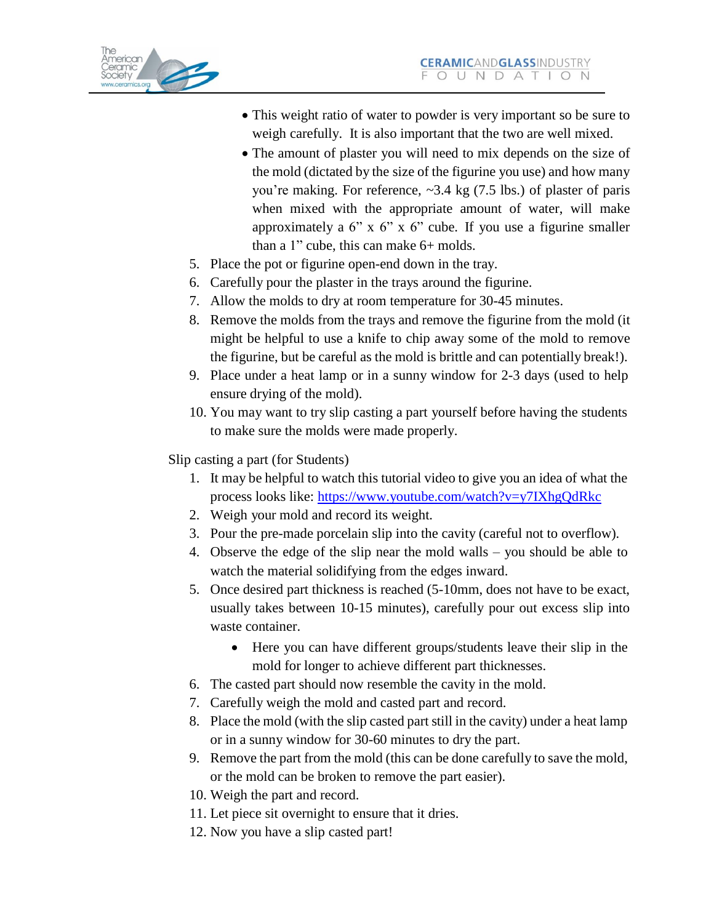- This weight ratio of water to powder is very important so be sure to weigh carefully. It is also important that the two are well mixed.
- The amount of plaster you will need to mix depends on the size of the mold (dictated by the size of the figurine you use) and how many you're making. For reference,  $\sim$ 3.4 kg (7.5 lbs.) of plaster of paris when mixed with the appropriate amount of water, will make approximately a 6" x 6" x 6" cube. If you use a figurine smaller than a 1" cube, this can make 6+ molds.
- 5. Place the pot or figurine open-end down in the tray.
- 6. Carefully pour the plaster in the trays around the figurine.
- 7. Allow the molds to dry at room temperature for 30-45 minutes.
- 8. Remove the molds from the trays and remove the figurine from the mold (it might be helpful to use a knife to chip away some of the mold to remove the figurine, but be careful as the mold is brittle and can potentially break!).
- 9. Place under a heat lamp or in a sunny window for 2-3 days (used to help ensure drying of the mold).
- 10. You may want to try slip casting a part yourself before having the students to make sure the molds were made properly.

Slip casting a part (for Students)

- 1. It may be helpful to watch this tutorial video to give you an idea of what the process looks like: <https://www.youtube.com/watch?v=y7IXhgQdRkc>
- 2. Weigh your mold and record its weight.
- 3. Pour the pre-made porcelain slip into the cavity (careful not to overflow).
- 4. Observe the edge of the slip near the mold walls you should be able to watch the material solidifying from the edges inward.
- 5. Once desired part thickness is reached (5-10mm, does not have to be exact, usually takes between 10-15 minutes), carefully pour out excess slip into waste container.
	- Here you can have different groups/students leave their slip in the mold for longer to achieve different part thicknesses.
- 6. The casted part should now resemble the cavity in the mold.
- 7. Carefully weigh the mold and casted part and record.
- 8. Place the mold (with the slip casted part still in the cavity) under a heat lamp or in a sunny window for 30-60 minutes to dry the part.
- 9. Remove the part from the mold (this can be done carefully to save the mold, or the mold can be broken to remove the part easier).
- 10. Weigh the part and record.
- 11. Let piece sit overnight to ensure that it dries.
- 12. Now you have a slip casted part!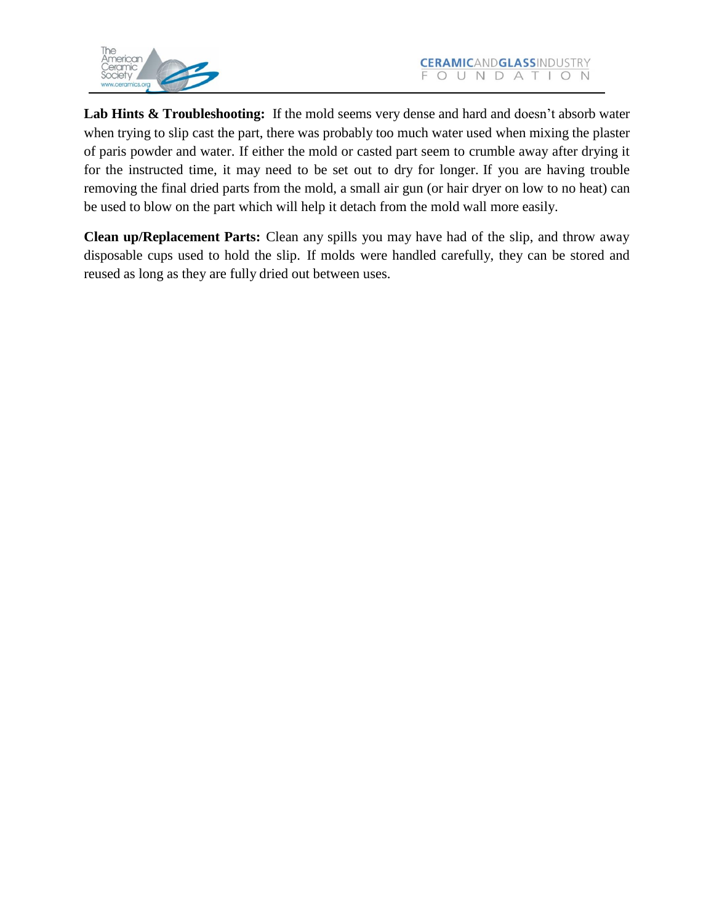

**Lab Hints & Troubleshooting:** If the mold seems very dense and hard and doesn't absorb water when trying to slip cast the part, there was probably too much water used when mixing the plaster of paris powder and water. If either the mold or casted part seem to crumble away after drying it for the instructed time, it may need to be set out to dry for longer. If you are having trouble removing the final dried parts from the mold, a small air gun (or hair dryer on low to no heat) can be used to blow on the part which will help it detach from the mold wall more easily.

**Clean up/Replacement Parts:** Clean any spills you may have had of the slip, and throw away disposable cups used to hold the slip. If molds were handled carefully, they can be stored and reused as long as they are fully dried out between uses.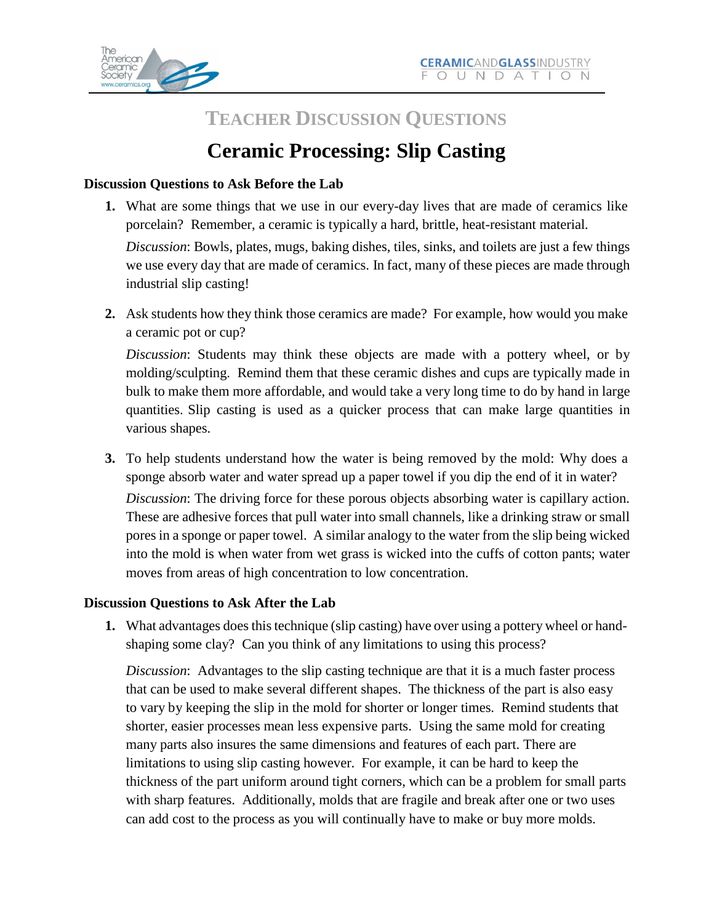

## **TEACHER DISCUSSION QUESTIONS**

# **Ceramic Processing: Slip Casting**

#### **Discussion Questions to Ask Before the Lab**

**1.** What are some things that we use in our every-day lives that are made of ceramics like porcelain? Remember, a ceramic is typically a hard, brittle, heat-resistant material.

*Discussion*: Bowls, plates, mugs, baking dishes, tiles, sinks, and toilets are just a few things we use every day that are made of ceramics. In fact, many of these pieces are made through industrial slip casting!

**2.** Ask students how they think those ceramics are made? For example, how would you make a ceramic pot or cup?

*Discussion*: Students may think these objects are made with a pottery wheel, or by molding/sculpting. Remind them that these ceramic dishes and cups are typically made in bulk to make them more affordable, and would take a very long time to do by hand in large quantities. Slip casting is used as a quicker process that can make large quantities in various shapes.

**3.** To help students understand how the water is being removed by the mold: Why does a sponge absorb water and water spread up a paper towel if you dip the end of it in water?

*Discussion*: The driving force for these porous objects absorbing water is capillary action. These are adhesive forces that pull water into small channels, like a drinking straw or small pores in a sponge or paper towel. A similar analogy to the water from the slip being wicked into the mold is when water from wet grass is wicked into the cuffs of cotton pants; water moves from areas of high concentration to low concentration.

#### **Discussion Questions to Ask After the Lab**

**1.** What advantages does this technique (slip casting) have over using a pottery wheel or handshaping some clay? Can you think of any limitations to using this process?

*Discussion*: Advantages to the slip casting technique are that it is a much faster process that can be used to make several different shapes. The thickness of the part is also easy to vary by keeping the slip in the mold for shorter or longer times. Remind students that shorter, easier processes mean less expensive parts. Using the same mold for creating many parts also insures the same dimensions and features of each part. There are limitations to using slip casting however. For example, it can be hard to keep the thickness of the part uniform around tight corners, which can be a problem for small parts with sharp features. Additionally, molds that are fragile and break after one or two uses can add cost to the process as you will continually have to make or buy more molds.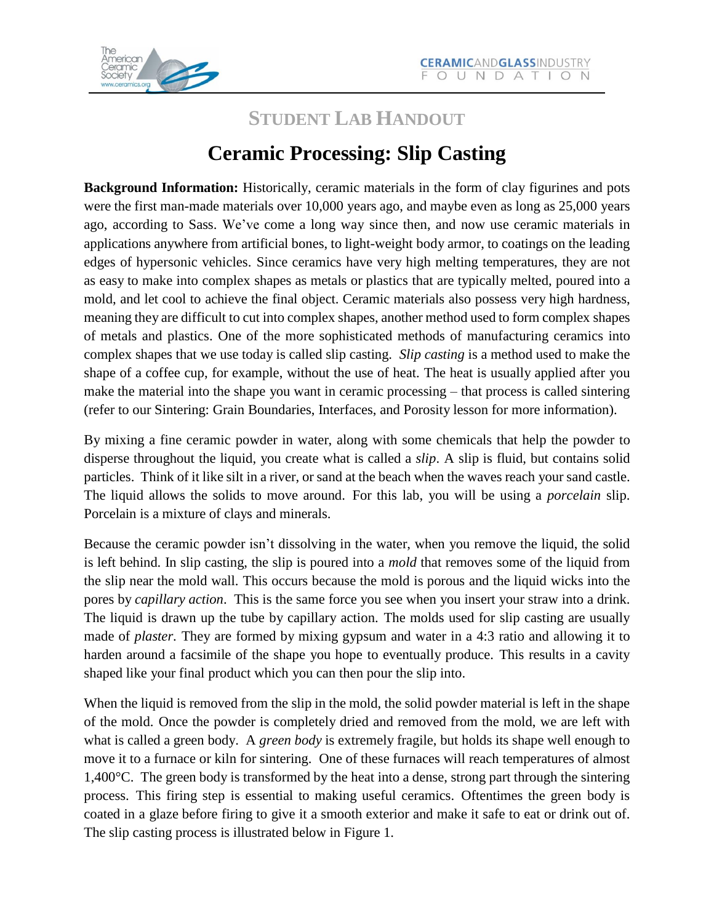

## **STUDENT LAB HANDOUT**

## **Ceramic Processing: Slip Casting**

**Background Information:** Historically, ceramic materials in the form of clay figurines and pots were the first man-made materials over 10,000 years ago, and maybe even as long as 25,000 years ago, according to Sass. We've come a long way since then, and now use ceramic materials in applications anywhere from artificial bones, to light-weight body armor, to coatings on the leading edges of hypersonic vehicles. Since ceramics have very high melting temperatures, they are not as easy to make into complex shapes as metals or plastics that are typically melted, poured into a mold, and let cool to achieve the final object. Ceramic materials also possess very high hardness, meaning they are difficult to cut into complex shapes, another method used to form complex shapes of metals and plastics. One of the more sophisticated methods of manufacturing ceramics into complex shapes that we use today is called slip casting. *Slip casting* is a method used to make the shape of a coffee cup, for example, without the use of heat. The heat is usually applied after you make the material into the shape you want in ceramic processing – that process is called sintering (refer to our Sintering: Grain Boundaries, Interfaces, and Porosity lesson for more information).

By mixing a fine ceramic powder in water, along with some chemicals that help the powder to disperse throughout the liquid, you create what is called a *slip*. A slip is fluid, but contains solid particles. Think of it like silt in a river, or sand at the beach when the waves reach your sand castle. The liquid allows the solids to move around. For this lab, you will be using a *porcelain* slip. Porcelain is a mixture of clays and minerals.

Because the ceramic powder isn't dissolving in the water, when you remove the liquid, the solid is left behind. In slip casting, the slip is poured into a *mold* that removes some of the liquid from the slip near the mold wall. This occurs because the mold is porous and the liquid wicks into the pores by *capillary action*. This is the same force you see when you insert your straw into a drink. The liquid is drawn up the tube by capillary action. The molds used for slip casting are usually made of *plaster*. They are formed by mixing gypsum and water in a 4:3 ratio and allowing it to harden around a facsimile of the shape you hope to eventually produce. This results in a cavity shaped like your final product which you can then pour the slip into.

When the liquid is removed from the slip in the mold, the solid powder material is left in the shape of the mold. Once the powder is completely dried and removed from the mold, we are left with what is called a green body. A *green body* is extremely fragile, but holds its shape well enough to move it to a furnace or kiln for sintering. One of these furnaces will reach temperatures of almost 1,400°C. The green body is transformed by the heat into a dense, strong part through the sintering process. This firing step is essential to making useful ceramics. Oftentimes the green body is coated in a glaze before firing to give it a smooth exterior and make it safe to eat or drink out of. The slip casting process is illustrated below in Figure 1.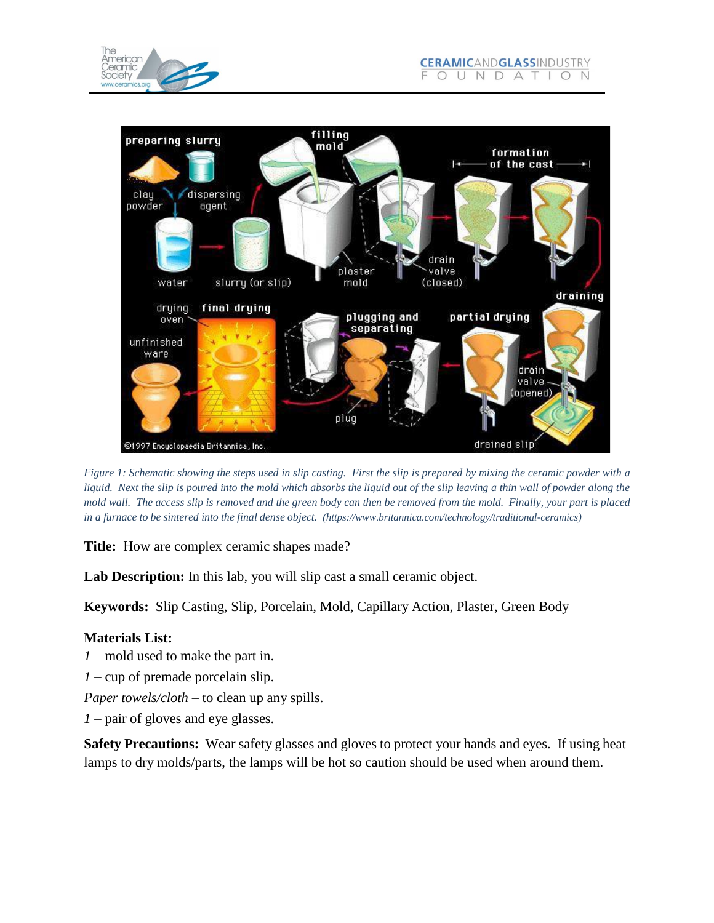

Figure 1: Schematic showing the steps used in slip casting. First the slip is prepared by mixing the ceramic powder with a liquid. Next the slip is poured into the mold which absorbs the liquid out of the slip leaving a thin wall of powder along the mold wall. The access slip is removed and the green body can then be removed from the mold. Finally, your part is placed *in a furnace to be sintered into the final dense object. (htt[ps://ww](http://www.britannica.com/technology/traditional-ceramics))w.[britannica.com/technology/traditional-ceramics\)](http://www.britannica.com/technology/traditional-ceramics))*

**Title:** How are complex ceramic shapes made?

**Lab Description:** In this lab, you will slip cast a small ceramic object.

**Keywords:** Slip Casting, Slip, Porcelain, Mold, Capillary Action, Plaster, Green Body

### **Materials List:**

*1* – mold used to make the part in.

- *1*  cup of premade porcelain slip.
- *Paper towels/cloth* to clean up any spills.
- *1*  pair of gloves and eye glasses.

**Safety Precautions:** Wear safety glasses and gloves to protect your hands and eyes. If using heat lamps to dry molds/parts, the lamps will be hot so caution should be used when around them.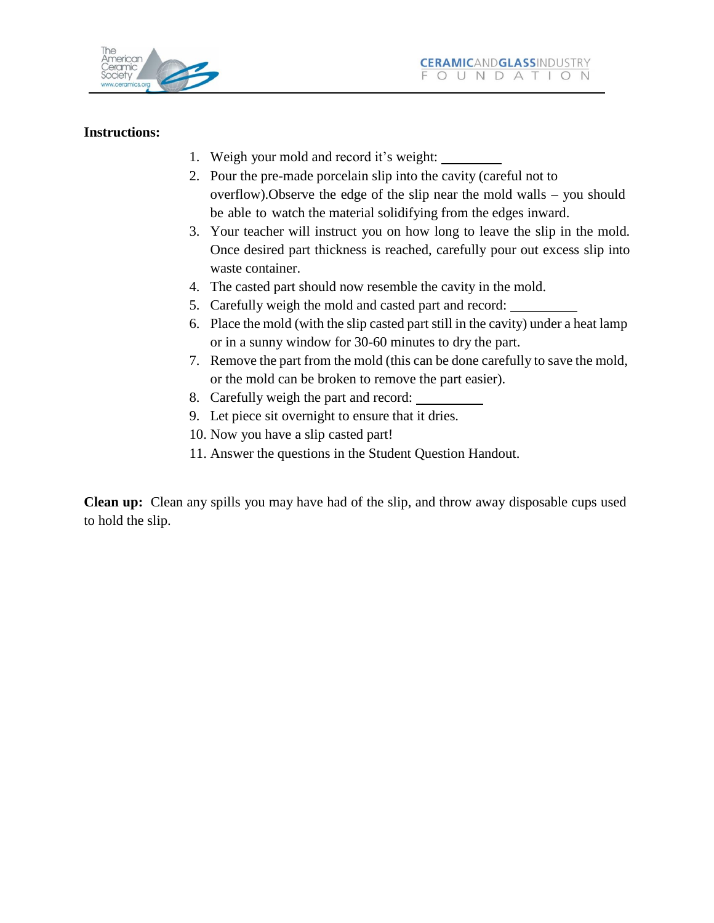

#### **Instructions:**

- 1. Weigh your mold and record it's weight:
- 2. Pour the pre-made porcelain slip into the cavity (careful not to overflow).Observe the edge of the slip near the mold walls – you should be able to watch the material solidifying from the edges inward.
- 3. Your teacher will instruct you on how long to leave the slip in the mold. Once desired part thickness is reached, carefully pour out excess slip into waste container.
- 4. The casted part should now resemble the cavity in the mold.
- 5. Carefully weigh the mold and casted part and record:
- 6. Place the mold (with the slip casted part still in the cavity) under a heat lamp or in a sunny window for 30-60 minutes to dry the part.
- 7. Remove the part from the mold (this can be done carefully to save the mold, or the mold can be broken to remove the part easier).
- 8. Carefully weigh the part and record:
- 9. Let piece sit overnight to ensure that it dries.
- 10. Now you have a slip casted part!
- 11. Answer the questions in the Student Question Handout.

**Clean up:** Clean any spills you may have had of the slip, and throw away disposable cups used to hold the slip.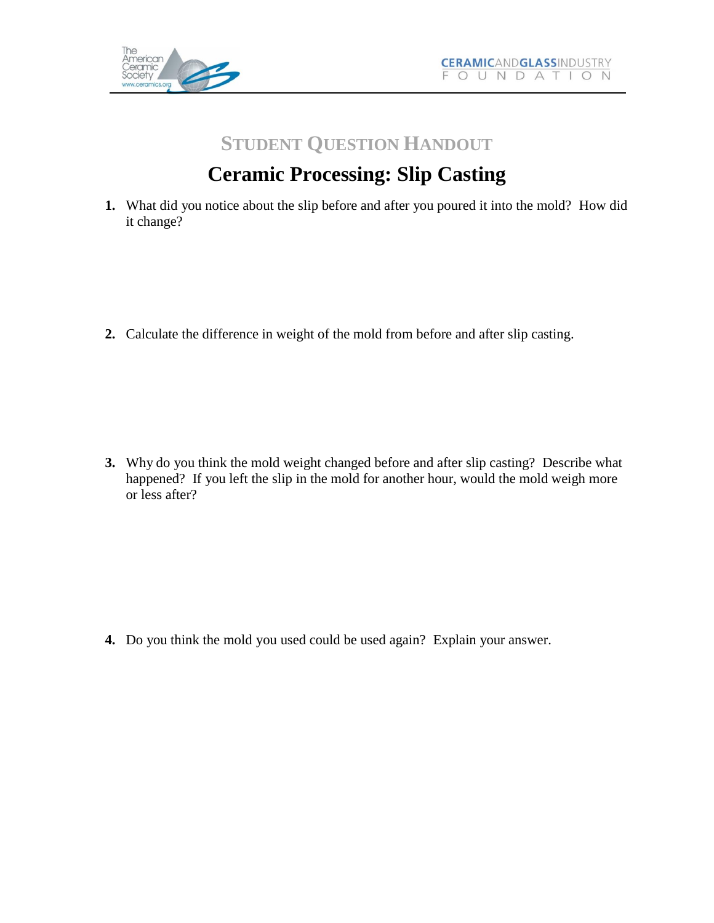

## **STUDENT QUESTION HANDOUT**

# **Ceramic Processing: Slip Casting**

**1.** What did you notice about the slip before and after you poured it into the mold? How did it change?

**2.** Calculate the difference in weight of the mold from before and after slip casting.

**3.** Why do you think the mold weight changed before and after slip casting? Describe what happened? If you left the slip in the mold for another hour, would the mold weigh more or less after?

**4.** Do you think the mold you used could be used again? Explain your answer.